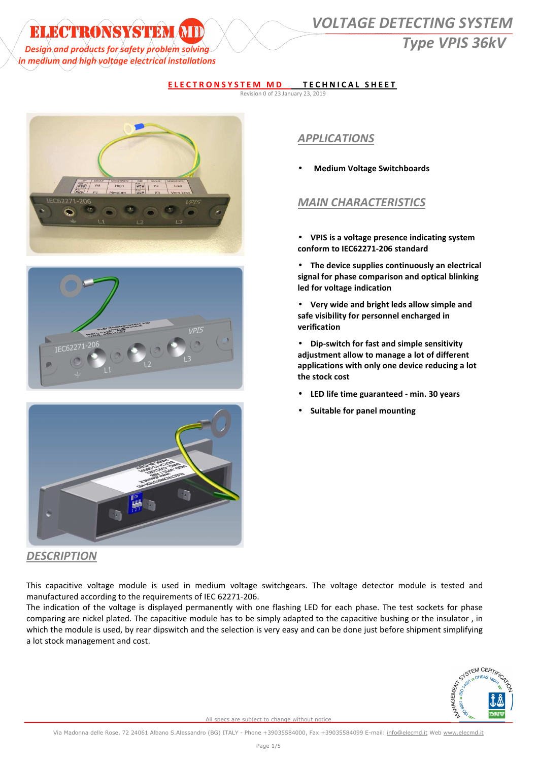in medium and high voltage electrical installations

# **ELECTRONSYSTEM (NIII) WOLTAGE DETECTING SYSTEM** *Design and products for safety problem solving* and the same of the same of the same of the same of the same of the same of the same of the same of the same of the same of the same of the same of the same of the same of t

### **ELECTRONSYSTEM MD TECHNICAL SHEET**

Revision 0 of 23 January 23, 2019







## *APPLICATIONS*

• **Medium Voltage Switchboards** 

## *MAIN CHARACTERISTICS*

- **VPIS is a voltage presence indicating system conform to IEC62271-206 standard**
- **The device supplies continuously an electrical signal for phase comparison and optical blinking led for voltage indication**
- **Very wide and bright leds allow simple and safe visibility for personnel encharged in verification**
- **Dip-switch for fast and simple sensitivity adjustment allow to manage a lot of different applications with only one device reducing a lot the stock cost**
- **LED life time guaranteed min. 30 years**
- **Suitable for panel mounting**

### *DESCRIPTION*

This capacitive voltage module is used in medium voltage switchgears. The voltage detector module is tested and manufactured according to the requirements of IEC 62271-206.

The indication of the voltage is displayed permanently with one flashing LED for each phase. The test sockets for phase comparing are nickel plated. The capacitive module has to be simply adapted to the capacitive bushing or the insulator , in which the module is used, by rear dipswitch and the selection is very easy and can be done just before shipment simplifying a lot stock management and cost.

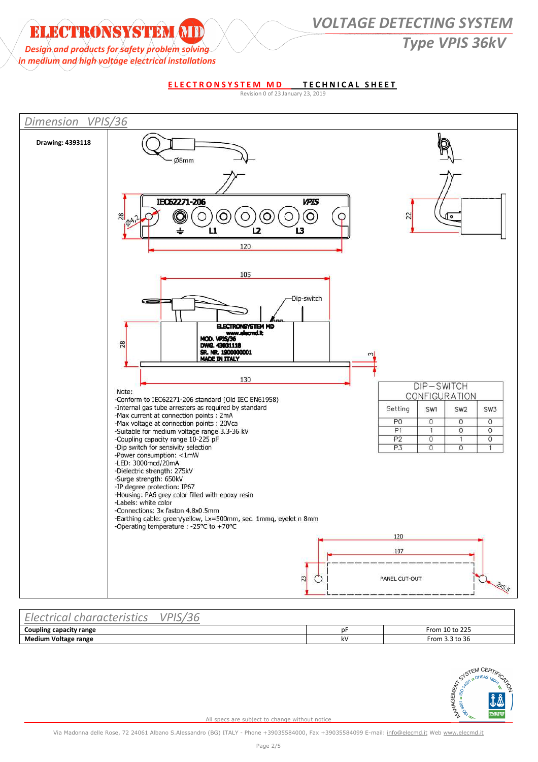## **ELECTRONSYSTEM (TI)** VOLTAGE DETECTING SYSTEM *Design and products for safety problem solving*

in medium and high voltage electrical installations

**ELECTRONSYSTEM MD TECHNICAL SHEET** 





| $-1$<br>aracteristics<br>$r \cap \cap \cap$<br>$-1$<br>uа.<br>ັ | $\sqrt{2}$<br>/DIC |    |                |
|-----------------------------------------------------------------|--------------------|----|----------------|
| Coupling capacity range                                         |                    | n⊦ | From 10 to 225 |
| <b>Medium Voltage range</b>                                     |                    | k٧ | From 3.3 to 36 |

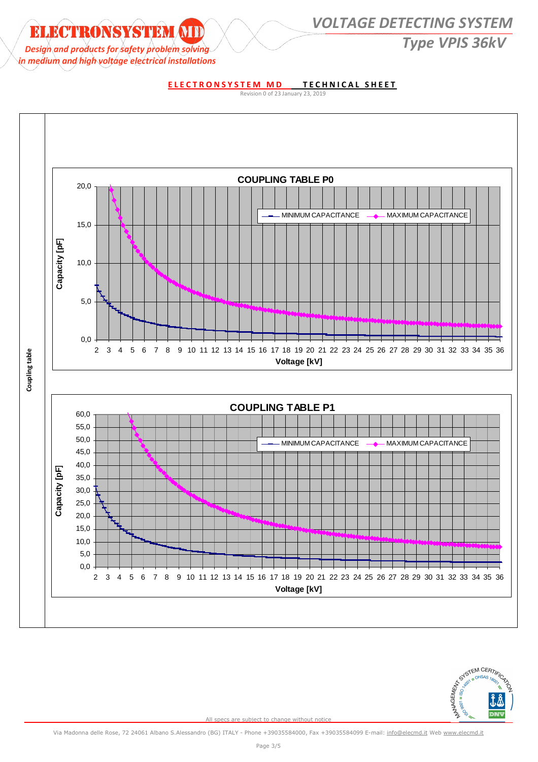# **ELECTRONSYSTEM ATDENTICALLY OLTAGE DETECTING SYSTEM EXECUTED A PROFILE AND RESERVE THE CONTRACT OF SUPPLIES AND TYPE VPIS 36kV** Type VPIS 36kV

in medium and high voltage electrical installations

**ELECTRONSYSTEM MD TECHNICAL SHEET** 

Revision 0 of 23 January 23, 2019



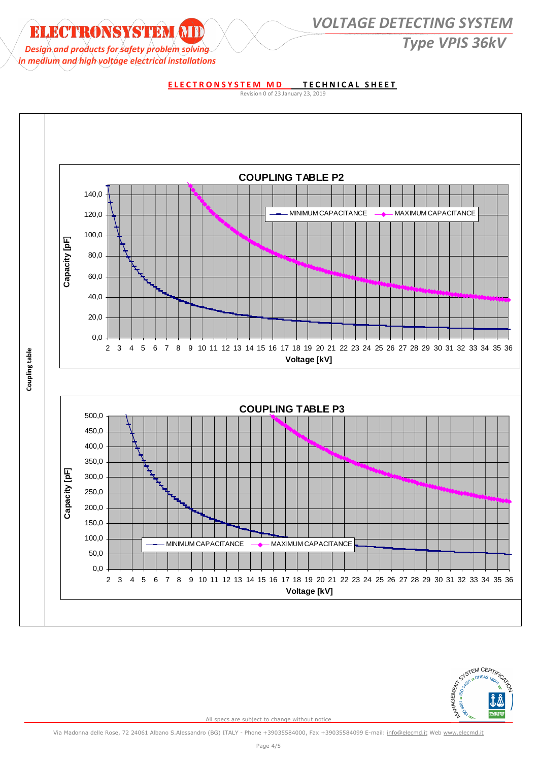## **ELECTRONSYSTEM ATDENTICALLY OLTAGE DETECTING SYSTEM** *Design* and products for safety problem solving *CONTRACTURE CONTRACTURE CONTRACTURE CONTRACTURE CONTRACTURE CONTRACTURE CONTRACTURE CONTRACTURE CONTRACTURE CONTRACTURE CONTRACTURE CONTRACTURE CONTRACTURE CONTRACTURE CON*

in medium and high voltage electrical installations

### **ELECTRONSYSTEM MD TECHNICAL SHEET**

Revision 0 of 23 January 23, 2019